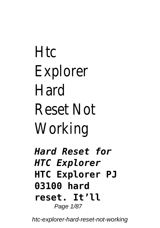# Htc Explorer Hard Reset Not Working

*Hard Reset for HTC Explorer* **HTC Explorer PJ 03100 hard reset. It'll** Page 1/87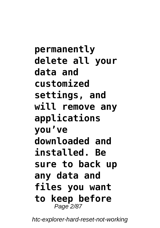**permanently delete all your data and customized settings, and will remove any applications you've downloaded and installed. Be sure to back up any data and files you want to keep before** Page 2/87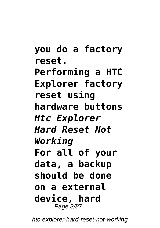**you do a factory reset. Performing a HTC Explorer factory reset using hardware buttons** *Htc Explorer Hard Reset Not Working* **For all of your data, a backup should be done on a external device, hard** Page 3/87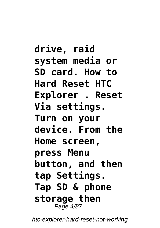**drive, raid system media or SD card. How to Hard Reset HTC Explorer . Reset Via settings. Turn on your device. From the Home screen, press Menu button, and then tap Settings. Tap SD & phone storage then** Page 4/87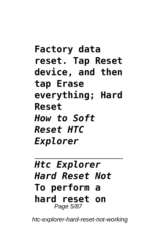**Factory data reset. Tap Reset device, and then tap Erase everything; Hard Reset** *How to Soft Reset HTC Explorer*

### *Htc Explorer Hard Reset Not* **To perform a hard reset on** Page 5/87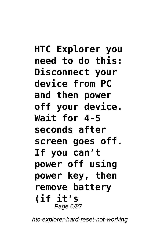**HTC Explorer you need to do this: Disconnect your device from PC and then power off your device. Wait for 4-5 seconds after screen goes off. If you can't power off using power key, then remove battery (if it's** Page 6/87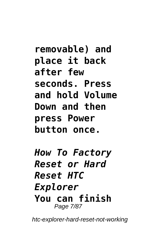**removable) and place it back after few seconds. Press and hold Volume Down and then press Power button once.**

*How To Factory Reset or Hard Reset HTC Explorer* **You can finish** Page 7/87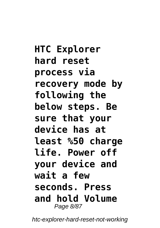**HTC Explorer hard reset process via recovery mode by following the below steps. Be sure that your device has at least %50 charge life. Power off your device and wait a few seconds. Press and hold Volume** Page 8/87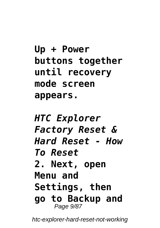```
Up + Power
buttons together
until recovery
mode screen
appears.
```

```
HTC Explorer
Factory Reset &
Hard Reset - How
To Reset
2. Next, open
Menu and
Settings, then
go to Backup and
    Page 9/87
```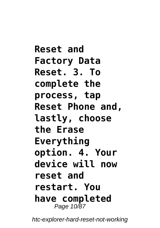**Reset and Factory Data Reset. 3. To complete the process, tap Reset Phone and, lastly, choose the Erase Everything option. 4. Your device will now reset and restart. You have completed** Page 10/87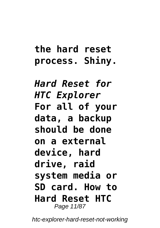## **the hard reset process. Shiny.**

*Hard Reset for HTC Explorer* **For all of your data, a backup should be done on a external device, hard drive, raid system media or SD card. How to Hard Reset HTC** Page 11/87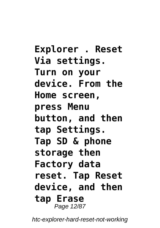**Explorer . Reset Via settings. Turn on your device. From the Home screen, press Menu button, and then tap Settings. Tap SD & phone storage then Factory data reset. Tap Reset device, and then tap Erase** Page 12/87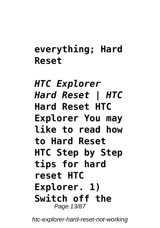## **everything; Hard Reset**

*HTC Explorer Hard Reset | HTC* **Hard Reset HTC Explorer You may like to read how to Hard Reset HTC Step by Step tips for hard reset HTC Explorer. 1) Switch off the** Page 13/87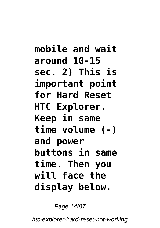**mobile and wait around 10-15 sec. 2) This is important point for Hard Reset HTC Explorer. Keep in same time volume (-) and power buttons in same time. Then you will face the display below.**

Page 14/87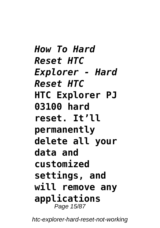*How To Hard Reset HTC Explorer - Hard Reset HTC* **HTC Explorer PJ 03100 hard reset. It'll permanently delete all your data and customized settings, and will remove any applications** Page 15/87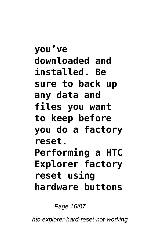**you've downloaded and installed. Be sure to back up any data and files you want to keep before you do a factory reset. Performing a HTC Explorer factory reset using hardware buttons**

Page 16/87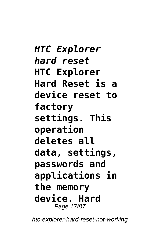*HTC Explorer hard reset* **HTC Explorer Hard Reset is a device reset to factory settings. This operation deletes all data, settings, passwords and applications in the memory device. Hard** Page 17/87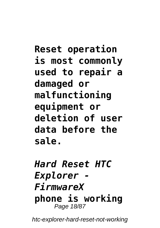**Reset operation is most commonly used to repair a damaged or malfunctioning equipment or deletion of user data before the sale.**

### *Hard Reset HTC Explorer - FirmwareX* **phone is working** Page 18/87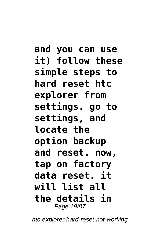**and you can use it) follow these simple steps to hard reset htc explorer from settings. go to settings, and locate the option backup and reset. now, tap on factory data reset. it will list all the details in** Page 19/87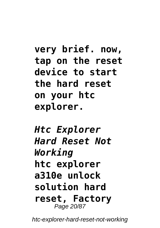**very brief. now, tap on the reset device to start the hard reset on your htc explorer.**

*Htc Explorer Hard Reset Not Working* **htc explorer a310e unlock solution hard reset, Factory** Page 20/87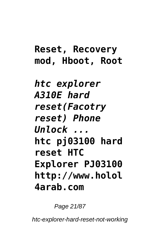# **Reset, Recovery mod, Hboot, Root** *htc explorer A310E hard reset(Facotry reset) Phone Unlock ...* **htc pj03100 hard reset HTC Explorer PJ03100 http://www.holol 4arab.com**

Page 21/87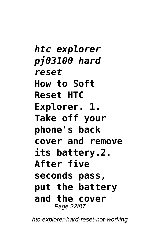*htc explorer pj03100 hard reset* **How to Soft Reset HTC Explorer. 1. Take off your phone's back cover and remove its battery.2. After five seconds pass, put the battery and the cover** Page 22/87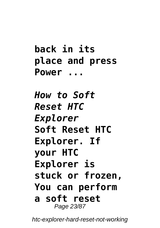**back in its place and press Power ...**

*How to Soft Reset HTC Explorer* **Soft Reset HTC Explorer. If your HTC Explorer is stuck or frozen, You can perform a soft reset** Page 23/87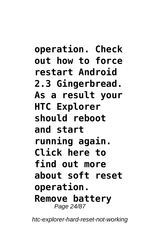**operation. Check out how to force restart Android 2.3 Gingerbread. As a result your HTC Explorer should reboot and start running again. Click here to find out more about soft reset operation. Remove battery** Page 24/87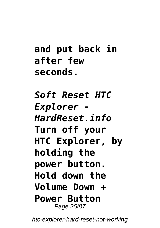**and put back in after few seconds.**

*Soft Reset HTC Explorer - HardReset.info* **Turn off your HTC Explorer, by holding the power button. Hold down the Volume Down + Power Button** Page 25/87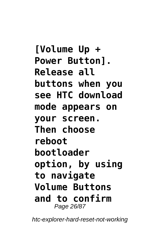**[Volume Up + Power Button]. Release all buttons when you see HTC download mode appears on your screen. Then choose reboot bootloader option, by using to navigate Volume Buttons and to confirm** Page 26/87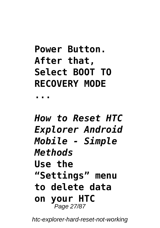## **Power Button. After that, Select BOOT TO RECOVERY MODE**

**...**

## *How to Reset HTC Explorer Android Mobile - Simple Methods* **Use the "Settings" menu to delete data on your HTC** Page 27/87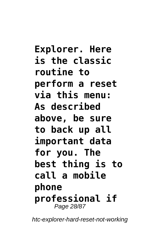**Explorer. Here is the classic routine to perform a reset via this menu: As described above, be sure to back up all important data for you. The best thing is to call a mobile phone professional if** Page 28/87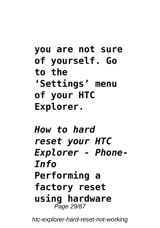**you are not sure of yourself. Go to the 'Settings' menu of your HTC Explorer.**

*How to hard reset your HTC Explorer - Phone-Info* **Performing a factory reset using hardware** Page 29/87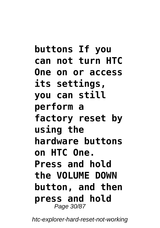**buttons If you can not turn HTC One on or access its settings, you can still perform a factory reset by using the hardware buttons on HTC One. Press and hold the VOLUME DOWN button, and then press and hold** Page 30/87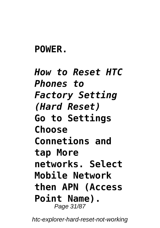### **POWER.**

*How to Reset HTC Phones to Factory Setting (Hard Reset)* **Go to Settings Choose Connetions and tap More networks. Select Mobile Network then APN (Access Point Name).** Page 31/87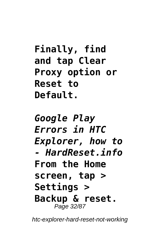**Finally, find and tap Clear Proxy option or Reset to Default.**

*Google Play Errors in HTC Explorer, how to - HardReset.info* **From the Home screen, tap > Settings > Backup & reset.** Page 32/87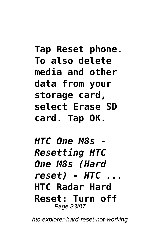**Tap Reset phone. To also delete media and other data from your storage card, select Erase SD card. Tap OK.**

*HTC One M8s - Resetting HTC One M8s (Hard reset) - HTC ...* **HTC Radar Hard Reset: Turn off** Page 33/87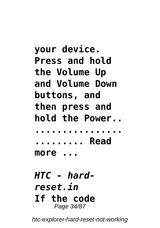**your device. Press and hold the Volume Up and Volume Down buttons, and then press and hold the Power.. ................ ......... Read more ...** *HTC - hardreset.in* **If the code** Page 34/87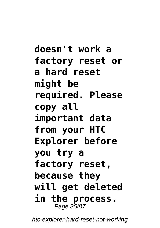**doesn't work a factory reset or a hard reset might be required. Please copy all important data from your HTC Explorer before you try a factory reset, because they will get deleted in the process.** Page 35/87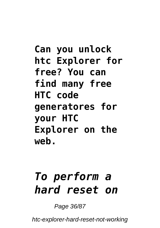**Can you unlock htc Explorer for free? You can find many free HTC code generatores for your HTC Explorer on the web.**

# *To perform a hard reset on*

Page 36/87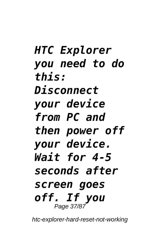*HTC Explorer you need to do this: Disconnect your device from PC and then power off your device. Wait for 4-5 seconds after screen goes off. If you* Page 37/87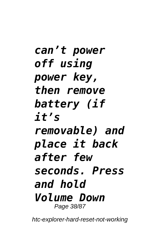*can't power off using power key, then remove battery (if it's removable) and place it back after few seconds. Press and hold Volume Down* Page 38/87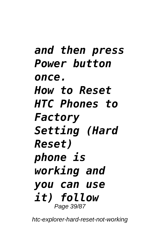*and then press Power button once. How to Reset HTC Phones to Factory Setting (Hard Reset) phone is working and you can use it) follow* Page 39/87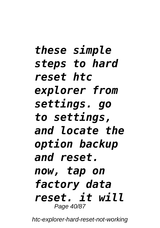*these simple steps to hard reset htc explorer from settings. go to settings, and locate the option backup and reset. now, tap on factory data reset. it will* Page 40/87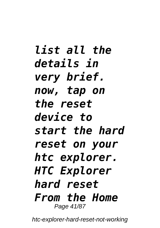*list all the details in very brief. now, tap on the reset device to start the hard reset on your htc explorer. HTC Explorer hard reset From the Home* Page 41/87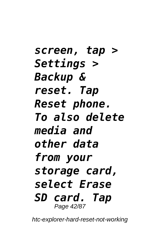*screen, tap > Settings > Backup & reset. Tap Reset phone. To also delete media and other data from your storage card, select Erase SD card. Tap* Page 42/87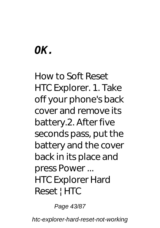# *OK.*

How to Soft Reset HTC Explorer. 1. Take off your phone's back cover and remove its battery.2. After five seconds pass, put the battery and the cover back in its place and press Power ... *HTC Explorer Hard Reset | HTC*

Page 43/87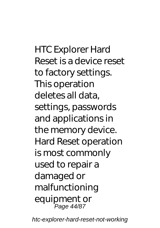HTC Explorer Hard Reset is a device reset to factory settings. This operation deletes all data, settings, passwords and applications in the memory device. Hard Reset operation is most commonly used to repair a damaged or malfunctioning equipment or Page 44/87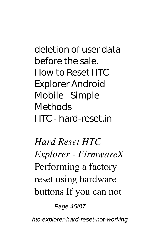deletion of user data before the sale. *How to Reset HTC Explorer Android Mobile - Simple Methods HTC - hard-reset.in*

*Hard Reset HTC Explorer - FirmwareX* Performing a factory reset using hardware buttons If you can not

Page 45/87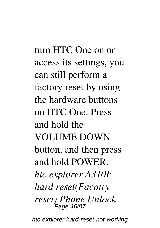turn HTC One on or access its settings, you can still perform a factory reset by using the hardware buttons on HTC One. Press and hold the VOLUME DOWN button, and then press and hold POWER. *htc explorer A310E hard reset(Facotry reset) Phone Unlock* ,<br>Page 46/87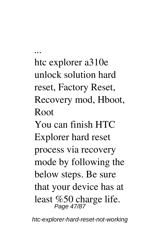htc explorer a310e unlock solution hard reset, Factory Reset, Recovery mod, Hboot, Root You can finish HTC Explorer hard reset process via recovery mode by following the below steps. Be sure that your device has at least %50 charge life. Page 47/87

*...*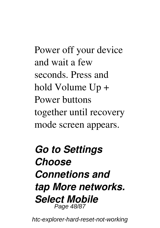Power off your device and wait a few seconds. Press and hold Volume Up + Power buttons together until recovery mode screen appears.

# *Go to Settings Choose Connetions and tap More networks. Select Mobile* Page 48/87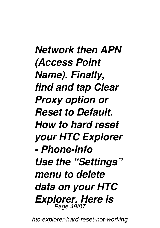*Network then APN (Access Point Name). Finally, find and tap Clear Proxy option or Reset to Default. How to hard reset your HTC Explorer - Phone-Info Use the "Settings" menu to delete data on your HTC Explorer. Here is* Page 49/87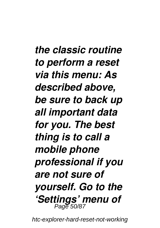*the classic routine to perform a reset via this menu: As described above, be sure to back up all important data for you. The best thing is to call a mobile phone professional if you are not sure of yourself. Go to the 'Settings' menu of* Page 50/87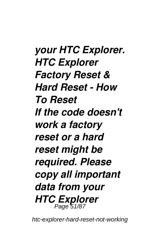*your HTC Explorer. HTC Explorer Factory Reset & Hard Reset - How To Reset If the code doesn't work a factory reset or a hard reset might be required. Please copy all important data from your HTC Explorer* Page 51/87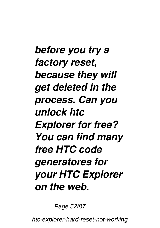*before you try a factory reset, because they will get deleted in the process. Can you unlock htc Explorer for free? You can find many free HTC code generatores for your HTC Explorer on the web.*

Page 52/87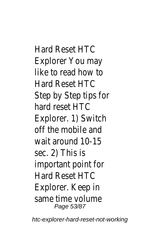Hard Reset HTC Explorer You may like to read how to Hard Reset HTC Step by Step tips for hard reset HTC Explorer. 1) Switch off the mobile and wait around 10-15 sec. 2) This is important point for Hard Reset HTC Explorer. Keep in same time volume Page 53/87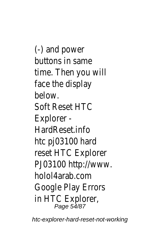(-) and power buttons in same time. Then you will face the display below. Soft Reset HTC Explorer - HardReset.info htc pj03100 hard reset HTC Explorer PJ03100 http://www. holol4arab.com Google Play Errors in HTC Explorer, Page 54/87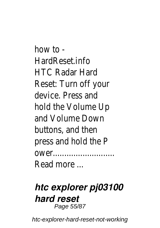how to  $-$ HardReset.info HTC Radar Hard Reset: Turn off your device. Press and hold the Volume Up and Volume Down buttons, and then press and hold the P ower........................... Read more ...

#### *htc explorer pj03100 hard reset* Page 55/87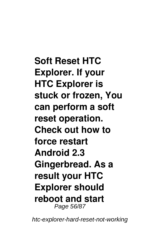**Soft Reset HTC Explorer. If your HTC Explorer is stuck or frozen, You can perform a soft reset operation. Check out how to force restart Android 2.3 Gingerbread. As a result your HTC Explorer should reboot and start** Page 56/87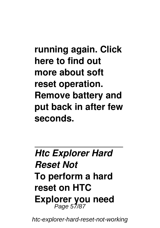**running again. Click here to find out more about soft reset operation. Remove battery and put back in after few seconds.**

*Htc Explorer Hard Reset Not* **To perform a hard reset on HTC Explorer you need** Page 57/87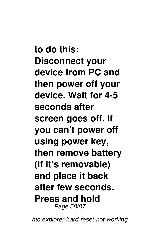**to do this: Disconnect your device from PC and then power off your device. Wait for 4-5 seconds after screen goes off. If you can't power off using power key, then remove battery (if it's removable) and place it back after few seconds. Press and hold** Page 58/87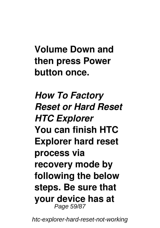# **Volume Down and then press Power button once.**

*How To Factory Reset or Hard Reset HTC Explorer* **You can finish HTC Explorer hard reset process via recovery mode by following the below steps. Be sure that your device has at** Page 59/87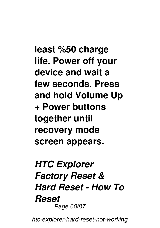**least %50 charge life. Power off your device and wait a few seconds. Press and hold Volume Up + Power buttons together until recovery mode screen appears.**

### *HTC Explorer Factory Reset & Hard Reset - How To Reset* Page 60/87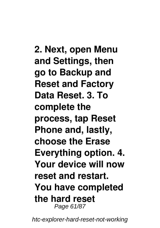**2. Next, open Menu and Settings, then go to Backup and Reset and Factory Data Reset. 3. To complete the process, tap Reset Phone and, lastly, choose the Erase Everything option. 4. Your device will now reset and restart. You have completed the hard reset** Page 61/87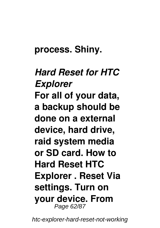#### **process. Shiny.**

## *Hard Reset for HTC Explorer* **For all of your data, a backup should be done on a external device, hard drive, raid system media or SD card. How to Hard Reset HTC Explorer . Reset Via settings. Turn on your device. From** Page 62/87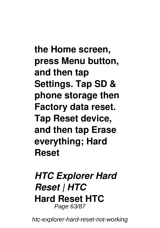**the Home screen, press Menu button, and then tap Settings. Tap SD & phone storage then Factory data reset. Tap Reset device, and then tap Erase everything; Hard Reset**

*HTC Explorer Hard Reset | HTC* **Hard Reset HTC** Page 63/87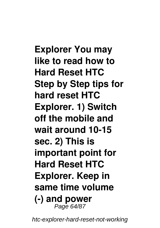**Explorer You may like to read how to Hard Reset HTC Step by Step tips for hard reset HTC Explorer. 1) Switch off the mobile and wait around 10-15 sec. 2) This is important point for Hard Reset HTC Explorer. Keep in same time volume (-) and power** Page 64/87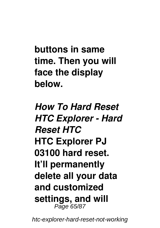**buttons in same time. Then you will face the display below.**

*How To Hard Reset HTC Explorer - Hard Reset HTC* **HTC Explorer PJ 03100 hard reset. It'll permanently delete all your data and customized settings, and will** Page 65/87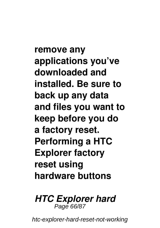**remove any applications you've downloaded and installed. Be sure to back up any data and files you want to keep before you do a factory reset. Performing a HTC Explorer factory reset using hardware buttons**

#### *HTC Explorer hard* Page 66/87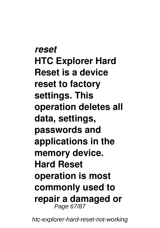*reset* **HTC Explorer Hard Reset is a device reset to factory settings. This operation deletes all data, settings, passwords and applications in the memory device. Hard Reset operation is most commonly used to repair a damaged or** Page 67/87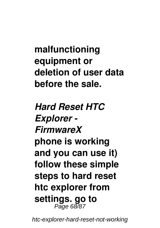**malfunctioning equipment or deletion of user data before the sale.**

*Hard Reset HTC Explorer - FirmwareX* **phone is working and you can use it) follow these simple steps to hard reset htc explorer from settings. go to** Page 68/87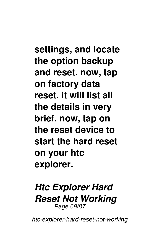**settings, and locate the option backup and reset. now, tap on factory data reset. it will list all the details in very brief. now, tap on the reset device to start the hard reset on your htc explorer.**

#### *Htc Explorer Hard Reset Not Working* Page 69/87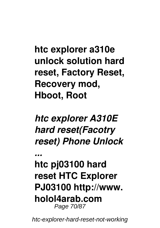**htc explorer a310e unlock solution hard reset, Factory Reset, Recovery mod, Hboot, Root**

*htc explorer A310E hard reset(Facotry reset) Phone Unlock*

*...*

**htc pj03100 hard reset HTC Explorer PJ03100 http://www. holol4arab.com** Page 70/87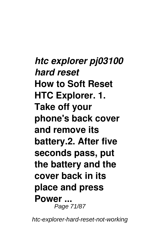*htc explorer pj03100 hard reset* **How to Soft Reset HTC Explorer. 1. Take off your phone's back cover and remove its battery.2. After five seconds pass, put the battery and the cover back in its place and press Power ...** Page 71/87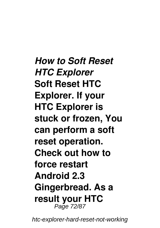*How to Soft Reset HTC Explorer* **Soft Reset HTC Explorer. If your HTC Explorer is stuck or frozen, You can perform a soft reset operation. Check out how to force restart Android 2.3 Gingerbread. As a result your HTC** Page 72/87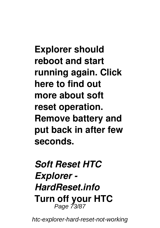**Explorer should reboot and start running again. Click here to find out more about soft reset operation. Remove battery and put back in after few seconds.**

*Soft Reset HTC Explorer - HardReset.info* **Turn off your HTC** Page 73/87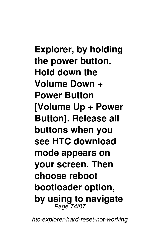**Explorer, by holding the power button. Hold down the Volume Down + Power Button [Volume Up + Power Button]. Release all buttons when you see HTC download mode appears on your screen. Then choose reboot bootloader option, by using to navigate** Page 74/87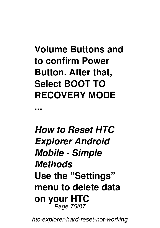**Volume Buttons and to confirm Power Button. After that, Select BOOT TO RECOVERY MODE**

**...**

*How to Reset HTC Explorer Android Mobile - Simple Methods* **Use the "Settings" menu to delete data on your HTC** Page 75/87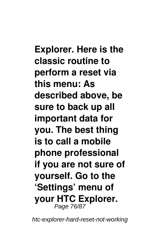**Explorer. Here is the classic routine to perform a reset via this menu: As described above, be sure to back up all important data for you. The best thing is to call a mobile phone professional if you are not sure of yourself. Go to the 'Settings' menu of your HTC Explorer.** Page 76/87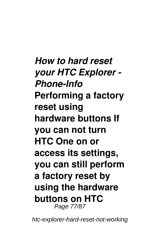*How to hard reset your HTC Explorer - Phone-Info* **Performing a factory reset using hardware buttons If you can not turn HTC One on or access its settings, you can still perform a factory reset by using the hardware buttons on HTC** Page 77/87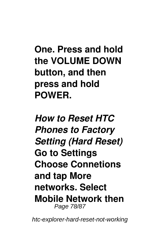**One. Press and hold the VOLUME DOWN button, and then press and hold POWER.**

*How to Reset HTC Phones to Factory Setting (Hard Reset)* **Go to Settings Choose Connetions and tap More networks. Select Mobile Network then** Page 78/87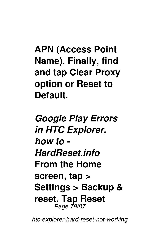**APN (Access Point Name). Finally, find and tap Clear Proxy option or Reset to Default.**

*Google Play Errors in HTC Explorer, how to - HardReset.info* **From the Home screen, tap > Settings > Backup & reset. Tap Reset** Page 79/87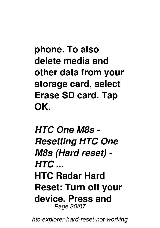**phone. To also delete media and other data from your storage card, select Erase SD card. Tap OK.**

*HTC One M8s - Resetting HTC One M8s (Hard reset) - HTC ...* **HTC Radar Hard Reset: Turn off your device. Press and** Page 80/87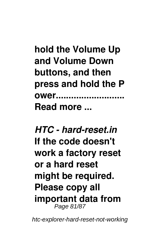**hold the Volume Up and Volume Down buttons, and then press and hold the P ower........................... Read more ...**

*HTC - hard-reset.in* **If the code doesn't work a factory reset or a hard reset might be required. Please copy all important data from** Page 81/87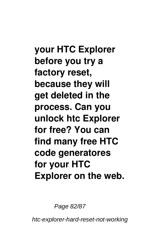**your HTC Explorer before you try a factory reset, because they will get deleted in the process. Can you unlock htc Explorer for free? You can find many free HTC code generatores for your HTC Explorer on the web.**

Page 82/87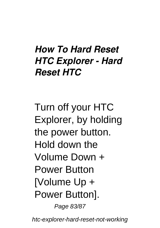## *How To Hard Reset HTC Explorer - Hard Reset HTC*

Turn off your HTC Explorer, by holding the power button. Hold down the Volume Down + Power Button [Volume Up + Power Button].

Page 83/87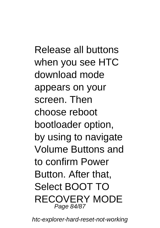Release all buttons when you see HTC download mode appears on your screen. Then choose reboot bootloader option, by using to navigate Volume Buttons and to confirm Power Button. After that, Select BOOT TO RECOVERY MODE Page 84/87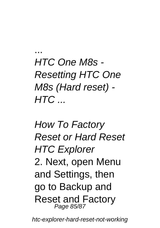HTC One M8s - Resetting HTC One M8s (Hard reset) -  $HTC.$ 

...

How To Factory Reset or Hard Reset **HTC Explorer** 2. Next, open Menu and Settings, then go to Backup and Reset and Factory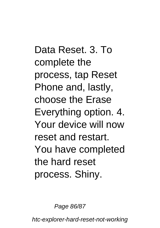Data Reset. 3. To complete the process, tap Reset Phone and, lastly, choose the Erase Everything option. 4. Your device will now reset and restart. You have completed the hard reset process. Shiny.

Page 86/87